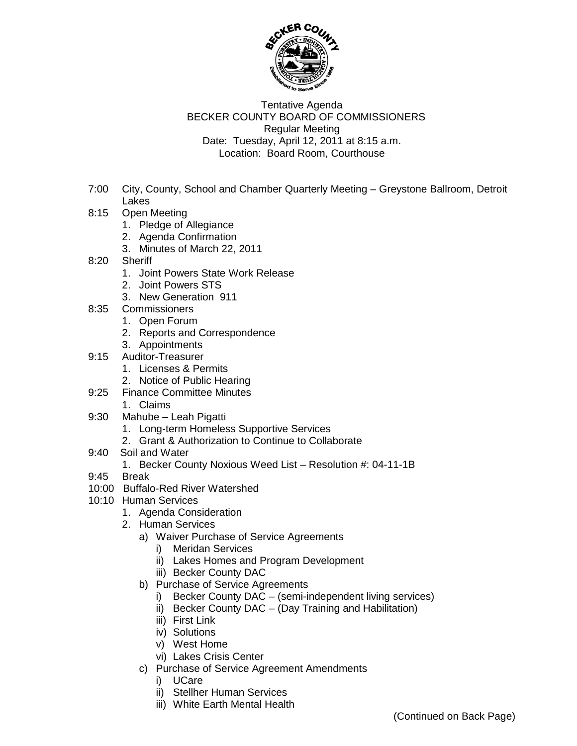

## Tentative Agenda BECKER COUNTY BOARD OF COMMISSIONERS Regular Meeting Date: Tuesday, April 12, 2011 at 8:15 a.m. Location: Board Room, Courthouse

- 7:00 City, County, School and Chamber Quarterly Meeting Greystone Ballroom, Detroit Lakes
- 8:15 Open Meeting
	- 1. Pledge of Allegiance
	- 2. Agenda Confirmation
	- 3. Minutes of March 22, 2011
- 8:20 Sheriff
	- 1. Joint Powers State Work Release
	- 2. Joint Powers STS
	- 3. New Generation 911
- 8:35 Commissioners
	- 1. Open Forum
	- 2. Reports and Correspondence
	- 3. Appointments
- 9:15 Auditor-Treasurer
	- 1. Licenses & Permits
	- 2. Notice of Public Hearing
- 9:25 Finance Committee Minutes
	- 1. Claims
- 9:30 Mahube Leah Pigatti
	- 1. Long-term Homeless Supportive Services
	- 2. Grant & Authorization to Continue to Collaborate
- 9:40 Soil and Water
	- 1. Becker County Noxious Weed List Resolution #: 04-11-1B
- 9:45 Break
- 10:00 Buffalo-Red River Watershed
- 10:10 Human Services
	- 1. Agenda Consideration
	- 2. Human Services
		- a) Waiver Purchase of Service Agreements
			- i) Meridan Services
			- ii) Lakes Homes and Program Development
			- iii) Becker County DAC
		- b) Purchase of Service Agreements
			- i) Becker County DAC (semi-independent living services)
			- ii) Becker County DAC (Day Training and Habilitation)
			- iii) First Link
			- iv) Solutions
			- v) West Home
			- vi) Lakes Crisis Center
		- c) Purchase of Service Agreement Amendments
			- i) UCare
			- ii) Stellher Human Services
			- iii) White Earth Mental Health